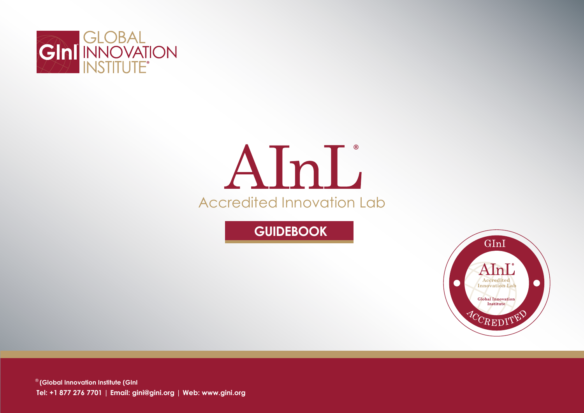

# Accredited Innovation Lab  $\Delta$ InL

**GUIDEBOOK**



® **(Global Innovation Institute (GInI Tel: +1 877 276 7701 | Email: gini@gini.org | Web: www.gini.org**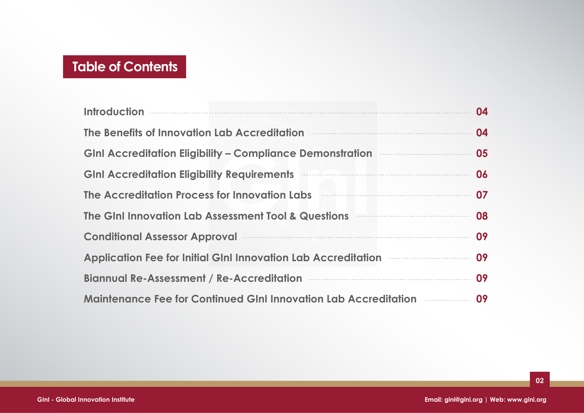## **Table of Contents**

| <b>Introduction</b>                                                                      | 04 |
|------------------------------------------------------------------------------------------|----|
| The Benefits of Innovation Lab Accreditation                                             | 04 |
| <b>GInI Accreditation Eligibility – Compliance Demonstration</b>                         | 05 |
| <b>GInl Accreditation Eligibility Requirements</b>                                       | 06 |
| The Accreditation Process for Innovation Labs                                            | 07 |
| The Gini Innovation Lab Assessment Tool & Questions                                      | 08 |
| <b>Conditional Assessor Approval</b>                                                     |    |
| <b>Application Fee for Initial GInI Innovation Lab Accreditation Entry Links</b>         |    |
| Biannual Re-Assessment / Re-Accreditation <b>Manual Re-Assessment</b> / Re-Accreditation |    |
| <b>Maintenance Fee for Continued GInI Innovation Lab Accreditation</b>                   |    |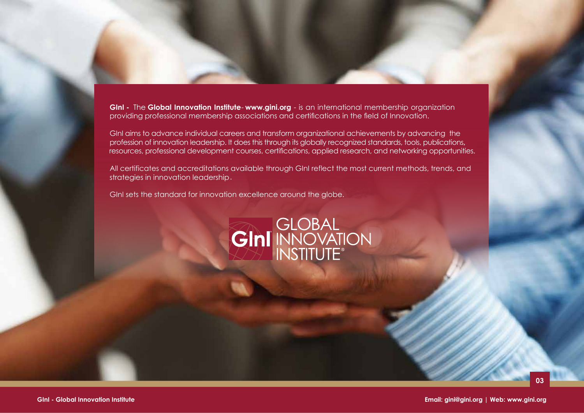**GInI -** The **Global Innovation Institute**- **www.gini.org** - is an international membership organization providing professional membership associations and certifications in the field of Innovation.

GInI aims to advance individual careers and transform organizational achievements by advancing the profession of innovation leadership. It does this through its globally recognized standards, tools, publications, resources, professional development courses, certifications, applied research, and networking opportunities.

All certificates and accreditations available through GInI reflect the most current methods, trends, and strategies in innovation leadership.

GInI sets the standard for innovation excellence around the globe.

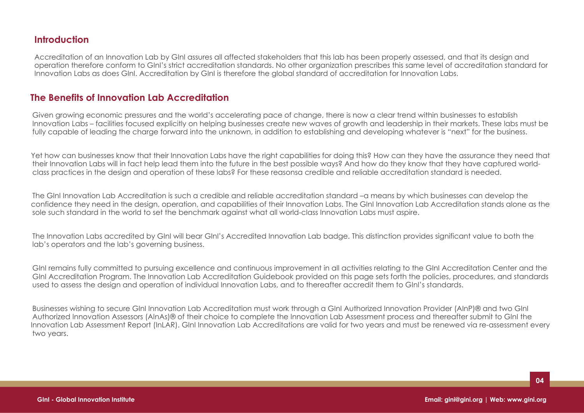## **Introduction**

 Accreditation of an Innovation Lab by GInI assures all affected stakeholders that this lab has been properly assessed, and that its design and operation therefore conform to GInI's strict accreditation standards. No other organization prescribes this same level of accreditation standard for Innovation Labs as does GInI. Accreditation by GInI is therefore the global standard of accreditation for Innovation Labs.

## **The Benefits of Innovation Lab Accreditation**

Given growing economic pressures and the world's accelerating pace of change, there is now a clear trend within businesses to establish Innovation Labs – facilities focused explicitly on helping businesses create new waves of growth and leadership in their markets. These labs must be fully capable of leading the charge forward into the unknown, in addition to establishing and developing whatever is "next" for the business.

Yet how can businesses know that their Innovation Labs have the right capabilities for doing this? How can they have the assurance they need that their Innovation Labs will in fact help lead them into the future in the best possible ways? And how do they know that they have captured worldclass practices in the design and operation of these labs? For these reasonsa credible and reliable accreditation standard is needed.k

The GInI Innovation Lab Accreditation is such a credible and reliable accreditation standard –a means by which businesses can develop the confidence they need in the design, operation, and capabilities of their Innovation Labs. The GInI Innovation Lab Accreditation stands alone as the sole such standard in the world to set the benchmark against what all world-class Innovation Labs must aspire.

The Innovation Labs accredited by GInI will bear GInI's Accredited Innovation Lab badge. This distinction provides significant value to both the lab's operators and the lab's governing business.

GInI remains fully committed to pursuing excellence and continuous improvement in all activities relating to the GInI Accreditation Center and the GInI Accreditation Program. The Innovation Lab Accreditation Guidebook provided on this page sets forth the policies, procedures, and standards used to assess the design and operation of individual Innovation Labs, and to thereafter accredit them to GInI's standards.

Businesses wishing to secure GInI Innovation Lab Accreditation must work through a GInI Authorized Innovation Provider (AInP)® and two GInI Authorized Innovation Assessors (AInAs)® of their choice to complete the Innovation Lab Assessment process and thereafter submit to GInI the Innovation Lab Assessment Report (InLAR). GInI Innovation Lab Accreditations are valid for two years and must be renewed via re-assessment every two years.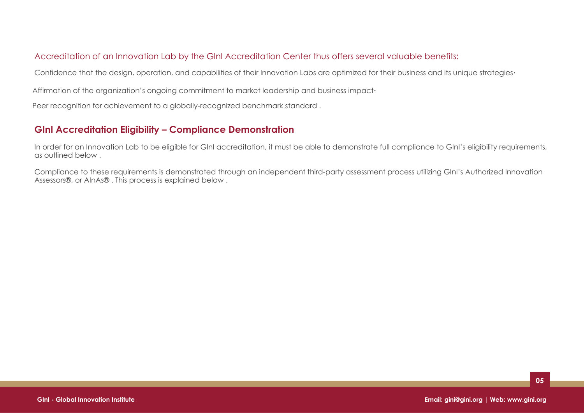### Accreditation of an Innovation Lab by the GInI Accreditation Center thus offers several valuable benefits:

Confidence that the design, operation, and capabilities of their Innovation Labs are optimized for their business and its unique strategies.

Affirmation of the organization's ongoing commitment to market leadership and business impact.

Peer recognition for achievement to a globally-recognized benchmark standard.

## **GInI Accreditation Eligibility – Compliance Demonstration**

In order for an Innovation Lab to be eligible for GInI accreditation, it must be able to demonstrate full compliance to GInI's eligibility requirements, as outlined below.

Compliance to these requirements is demonstrated through an independent third-party assessment process utilizing GInI's Authorized Innovation Assessors®, or AInAs®. This process is explained below.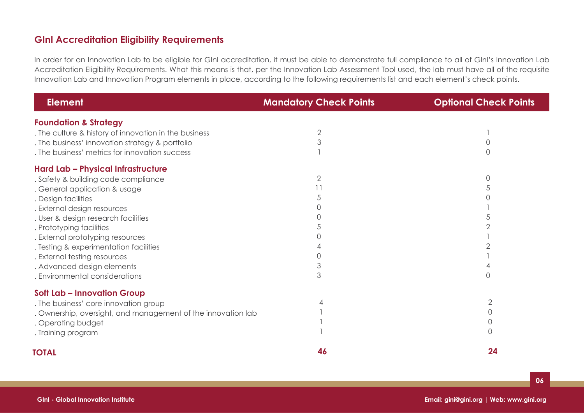## **GInI Accreditation Eligibility Requirements**

In order for an Innovation Lab to be eligible for GInI accreditation, it must be able to demonstrate full compliance to all of GInI's Innovation Lab Accreditation Eligibility Requirements. What this means is that, per the Innovation Lab Assessment Tool used, the lab must have all of the requisite Innovation Lab and Innovation Program elements in place, according to the following requirements list and each element's check points.

| <b>Element</b>                                               | <b>Mandatory Check Points</b> | <b>Optional Check Points</b> |
|--------------------------------------------------------------|-------------------------------|------------------------------|
| <b>Foundation &amp; Strategy</b>                             |                               |                              |
| . The culture & history of innovation in the business        | 2                             |                              |
| . The business' innovation strategy & portfolio              |                               |                              |
| . The business' metrics for innovation success               |                               |                              |
| Hard Lab - Physical Infrastructure                           |                               |                              |
| . Safety & building code compliance                          | $\overline{2}$                |                              |
| . General application & usage                                |                               |                              |
| . Design facilities                                          |                               |                              |
| . External design resources                                  |                               |                              |
| . User & design research facilities                          |                               |                              |
| . Prototyping facilities                                     |                               |                              |
| . External prototyping resources                             |                               |                              |
| . Testing & experimentation facilities                       |                               |                              |
| . External testing resources                                 |                               |                              |
| . Advanced design elements                                   |                               |                              |
| . Environmental considerations                               | 3                             |                              |
| <b>Soft Lab - Innovation Group</b>                           |                               |                              |
| . The business' core innovation group                        |                               | 2                            |
| . Ownership, oversight, and management of the innovation lab |                               | 0                            |
| . Operating budget                                           |                               | 0                            |
| . Training program                                           |                               | 0                            |
| <b>TOTAL</b>                                                 | 46                            | 24                           |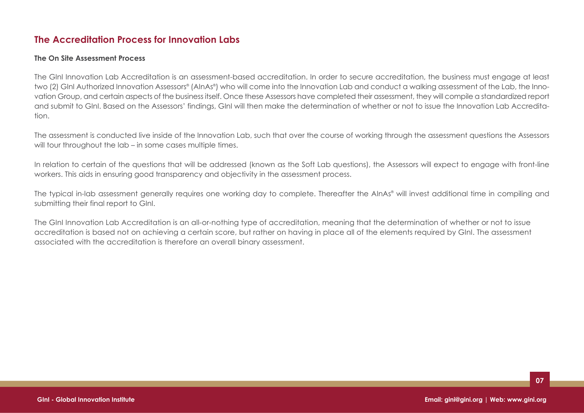## **The Accreditation Process for Innovation Labs**

#### **The On Site Assessment Process**

The GInI Innovation Lab Accreditation is an assessment-based accreditation. In order to secure accreditation, the business must engage at least two (2) GInI Authorized Innovation Assessors® (AInAs®) who will come into the Innovation Lab and conduct a walking assessment of the Lab, the Innovation Group, and certain aspects of the business itself. Once these Assessors have completed their assessment, they will compile a standardized report and submit to GInI. Based on the Assessors' findings, GInI will then make the determination of whether or not to issue the Innovation Lab Accreditation.

The assessment is conducted live inside of the Innovation Lab, such that over the course of working through the assessment questions the Assessors will tour throughout the lab – in some cases multiple times.

In relation to certain of the questions that will be addressed (known as the Soft Lab questions), the Assessors will expect to engage with front-line workers. This aids in ensuring good transparency and objectivity in the assessment process.

The typical in-lab assessment generally requires one working day to complete. Thereafter the AInAs® will invest additional time in compiling and submitting their final report to GInI.

The GInI Innovation Lab Accreditation is an all-or-nothing type of accreditation, meaning that the determination of whether or not to issue accreditation is based not on achieving a certain score, but rather on having in place all of the elements required by GInI. The assessment associated with the accreditation is therefore an overall binary assessment.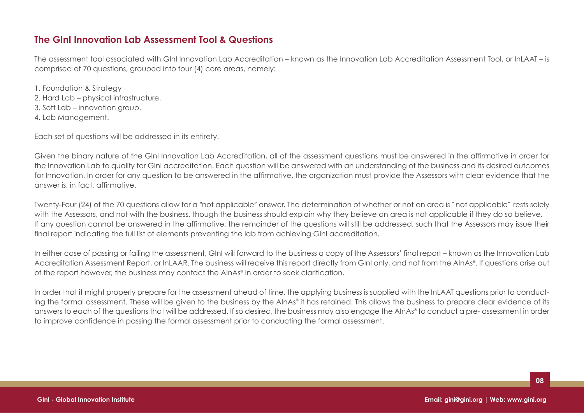## **The GInI Innovation Lab Assessment Tool & Questions**

The assessment tool associated with GInI Innovation Lab Accreditation – known as the Innovation Lab Accreditation Assessment Tool, or InLAAT – is comprised of 70 questions, grouped into four (4) core areas, namely:

1. Foundation & Strategy .2. Hard Lab – physical infrastructure. 3. Soft Lab – innovation group. 4. Lab Management.

Each set of questions will be addressed in its entirety.

Given the binary nature of the GInI Innovation Lab Accreditation, all of the assessment questions must be answered in the affirmative in order for the Innovation Lab to qualify for GInI accreditation. Each question will be answered with an understanding of the business and its desired outcomes for Innovation. In order for any question to be answered in the affirmative, the organization must provide the Assessors with clear evidence that the answer is, in fact, affirmative.

Twenty-Four (24) of the 70 questions allow for a "not applicable" answer. The determination of whether or not an area is ˜ not applicable˜ rests solely with the Assessors, and not with the business, though the business should explain why they believe an area is not applicable if they do so believe. If any question cannot be answered in the affirmative, the remainder of the questions will still be addressed, such that the Assessors may issue their final report indicating the full list of elements preventing the lab from achieving GInI accreditation.

In either case of passing or failing the assessment, GInI will forward to the business a copy of the Assessors' final report – known as the Innovation Lab Accreditation Assessment Report, or InLAAR. The business will receive this report directly from GInI only, and not from the AInAs® . If questions arise out of the report however, the business may contact the AInAs® in order to seek clarification.

In order that it might properly prepare for the assessment ahead of time, the applying business is supplied with the InLAAT questions prior to conducting the formal assessment. These will be given to the business by the AInAs® it has retained. This allows the business to prepare clear evidence of its answers to each of the questions that will be addressed. If so desired, the business may also engage the AInAs® to conduct a pre- assessment in order to improve confidence in passing the formal assessment prior to conducting the formal assessment.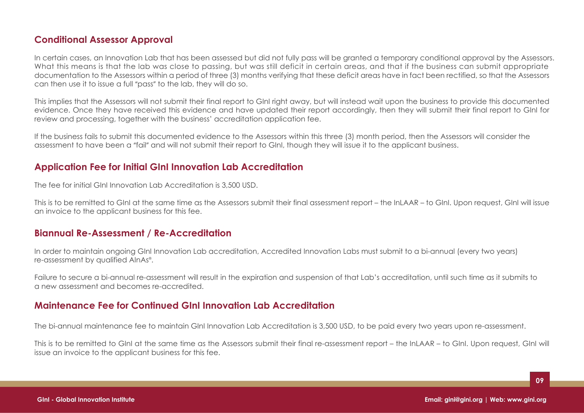## **Conditional Assessor Approval**

In certain cases, an Innovation Lab that has been assessed but did not fully pass will be granted a temporary conditional approval by the Assessors. What this means is that the lab was close to passing, but was still deficit in certain areas, and that if the business can submit appropriate documentation to the Assessors within a period of three (3) months verifying that these deficit areas have in fact been rectified, so that the Assessors can then use it to issue a full "pass" to the lab, they will do so.

This implies that the Assessors will not submit their final report to GInI right away, but will instead wait upon the business to provide this documented evidence. Once they have received this evidence and have updated their report accordingly, then they will submit their final report to GInI for review and processing, together with the business' accreditation application fee.

If the business fails to submit this documented evidence to the Assessors within this three (3) month period, then the Assessors will consider the assessment to have been a "fail" and will not submit their report to GInI, though they will issue it to the applicant business.

## **Application Fee for Initial GInI Innovation Lab Accreditation**

The fee for initial GInI Innovation Lab Accreditation is 3,500 USD.

This is to be remitted to GInI at the same time as the Assessors submit their final assessment report – the InLAAR – to GInI. Upon request, GInI will issue an invoice to the applicant business for this fee.

## **Biannual Re-Assessment / Re-Accreditation**

In order to maintain ongoing GInI Innovation Lab accreditation, Accredited Innovation Labs must submit to a bi-annual (every two years) re-assessment by qualified AInAs® .

Failure to secure a bi-annual re-assessment will result in the expiration and suspension of that Lab's accreditation, until such time as it submits to a new assessment and becomes re-accredited.

## **Maintenance Fee for Continued GInI Innovation Lab Accreditation**

The bi-annual maintenance fee to maintain GInI Innovation Lab Accreditation is 3,500 USD, to be paid every two years upon re-assessment.

This is to be remitted to GInI at the same time as the Assessors submit their final re-assessment report – the InLAAR – to GInI. Upon request, GInI will issue an invoice to the applicant business for this fee.